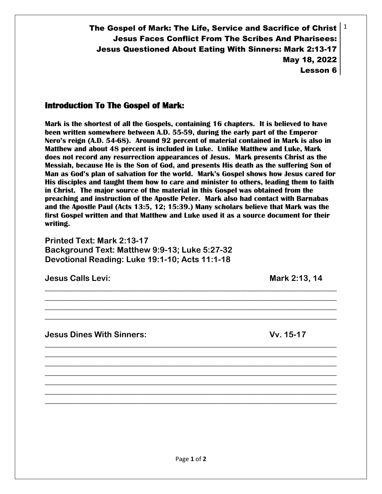The Gospel of Mark: The Life, Service and Sacrifice of Christ  $\mid 1$ Jesus Faces Conflict From The Scribes And Pharisees: Jesus Questioned About Eating With Sinners: Mark 2:13-17 May 18, 2022 Lesson 6

## **Introduction To The Gospel of Mark:**

**Mark is the shortest of all the Gospels, containing 16 chapters. It is believed to have been written somewhere between A.D. 55-59, during the early part of the Emperor Nero's reign (A.D. 54-68). Around 92 percent of material contained in Mark is also in Matthew and about 48 percent is included in Luke. Unlike Matthew and Luke, Mark does not record any resurrection appearances of Jesus. Mark presents Christ as the Messiah, because He is the Son of God, and presents His death as the suffering Son of Man as God's plan of salvation for the world. Mark's Gospel shows how Jesus cared for His disciples and taught them how to care and minister to others, leading them to faith in Christ. The major source of the material in this Gospel was obtained from the preaching and instruction of the Apostle Peter. Mark also had contact with Barnabas and the Apostle Paul (Acts 13:5, 12; 15:39.) Many scholars believe that Mark was the first Gospel written and that Matthew and Luke used it as a source document for their writing.** 

**\_\_\_\_\_\_\_\_\_\_\_\_\_\_\_\_\_\_\_\_\_\_\_\_\_\_\_\_\_\_\_\_\_\_\_\_\_\_\_\_\_\_\_\_\_\_\_\_\_\_\_\_\_\_\_\_\_\_\_\_\_\_\_\_\_\_\_\_\_\_\_\_ \_\_\_\_\_\_\_\_\_\_\_\_\_\_\_\_\_\_\_\_\_\_\_\_\_\_\_\_\_\_\_\_\_\_\_\_\_\_\_\_\_\_\_\_\_\_\_\_\_\_\_\_\_\_\_\_\_\_\_\_\_\_\_\_\_\_\_\_\_\_\_\_ \_\_\_\_\_\_\_\_\_\_\_\_\_\_\_\_\_\_\_\_\_\_\_\_\_\_\_\_\_\_\_\_\_\_\_\_\_\_\_\_\_\_\_\_\_\_\_\_\_\_\_\_\_\_\_\_\_\_\_\_\_\_\_\_\_\_\_\_\_\_\_\_ \_\_\_\_\_\_\_\_\_\_\_\_\_\_\_\_\_\_\_\_\_\_\_\_\_\_\_\_\_\_\_\_\_\_\_\_\_\_\_\_\_\_\_\_\_\_\_\_\_\_\_\_\_\_\_\_\_\_\_\_\_\_\_\_\_\_\_\_\_\_\_\_**

**\_\_\_\_\_\_\_\_\_\_\_\_\_\_\_\_\_\_\_\_\_\_\_\_\_\_\_\_\_\_\_\_\_\_\_\_\_\_\_\_\_\_\_\_\_\_\_\_\_\_\_\_\_\_\_\_\_\_\_\_\_\_\_\_\_\_\_\_\_\_\_\_ \_\_\_\_\_\_\_\_\_\_\_\_\_\_\_\_\_\_\_\_\_\_\_\_\_\_\_\_\_\_\_\_\_\_\_\_\_\_\_\_\_\_\_\_\_\_\_\_\_\_\_\_\_\_\_\_\_\_\_\_\_\_\_\_\_\_\_\_\_\_\_\_ \_\_\_\_\_\_\_\_\_\_\_\_\_\_\_\_\_\_\_\_\_\_\_\_\_\_\_\_\_\_\_\_\_\_\_\_\_\_\_\_\_\_\_\_\_\_\_\_\_\_\_\_\_\_\_\_\_\_\_\_\_\_\_\_\_\_\_\_\_\_\_\_ \_\_\_\_\_\_\_\_\_\_\_\_\_\_\_\_\_\_\_\_\_\_\_\_\_\_\_\_\_\_\_\_\_\_\_\_\_\_\_\_\_\_\_\_\_\_\_\_\_\_\_\_\_\_\_\_\_\_\_\_\_\_\_\_\_\_\_\_\_\_\_\_ \_\_\_\_\_\_\_\_\_\_\_\_\_\_\_\_\_\_\_\_\_\_\_\_\_\_\_\_\_\_\_\_\_\_\_\_\_\_\_\_\_\_\_\_\_\_\_\_\_\_\_\_\_\_\_\_\_\_\_\_\_\_\_\_\_\_\_\_\_\_\_\_ \_\_\_\_\_\_\_\_\_\_\_\_\_\_\_\_\_\_\_\_\_\_\_\_\_\_\_\_\_\_\_\_\_\_\_\_\_\_\_\_\_\_\_\_\_\_\_\_\_\_\_\_\_\_\_\_\_\_\_\_\_\_\_\_\_\_\_\_\_\_\_\_ \_\_\_\_\_\_\_\_\_\_\_\_\_\_\_\_\_\_\_\_\_\_\_\_\_\_\_\_\_\_\_\_\_\_\_\_\_\_\_\_\_\_\_\_\_\_\_\_\_\_\_\_\_\_\_\_\_\_\_\_\_\_\_\_\_\_\_\_\_\_\_\_**

**Printed Text: Mark 2:13-17 Background Text: Matthew 9:9-13; Luke 5:27-32 Devotional Reading: Luke 19:1-10; Acts 11:1-18**

**Jesus Calls Levi:** The Mark 2:13, 14

**Jesus Dines With Sinners: Vv. 15-17**